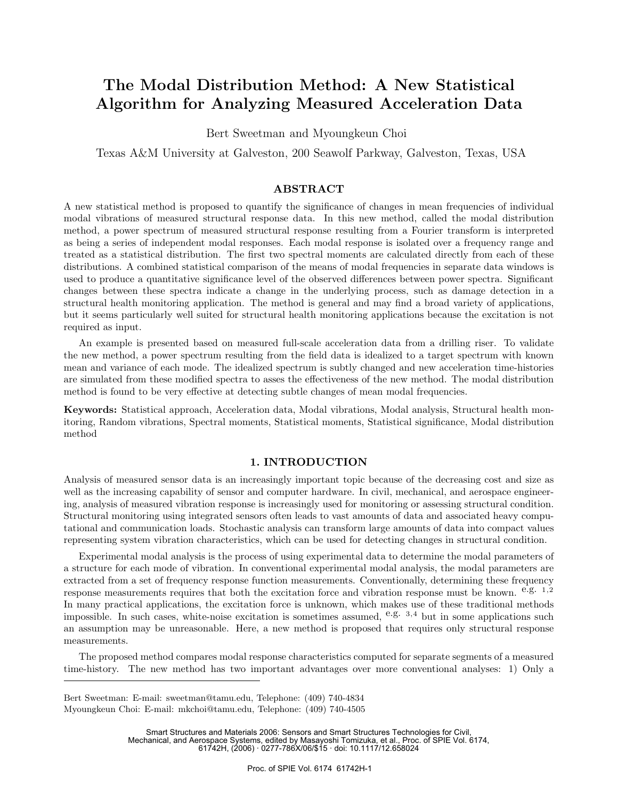# **The Modal Distribution Method: A New Statistical Algorithm for Analyzing Measured Acceleration Data**

Bert Sweetman and Myoungkeun Choi

Texas A&M University at Galveston, 200 Seawolf Parkway, Galveston, Texas, USA

# **ABSTRACT**

A new statistical method is proposed to quantify the significance of changes in mean frequencies of individual modal vibrations of measured structural response data. In this new method, called the modal distribution method, a power spectrum of measured structural response resulting from a Fourier transform is interpreted as being a series of independent modal responses. Each modal response is isolated over a frequency range and treated as a statistical distribution. The first two spectral moments are calculated directly from each of these distributions. A combined statistical comparison of the means of modal frequencies in separate data windows is used to produce a quantitative significance level of the observed differences between power spectra. Significant changes between these spectra indicate a change in the underlying process, such as damage detection in a structural health monitoring application. The method is general and may find a broad variety of applications, but it seems particularly well suited for structural health monitoring applications because the excitation is not required as input.

An example is presented based on measured full-scale acceleration data from a drilling riser. To validate the new method, a power spectrum resulting from the field data is idealized to a target spectrum with known mean and variance of each mode. The idealized spectrum is subtly changed and new acceleration time-histories are simulated from these modified spectra to asses the effectiveness of the new method. The modal distribution method is found to be very effective at detecting subtle changes of mean modal frequencies.

**Keywords:** Statistical approach, Acceleration data, Modal vibrations, Modal analysis, Structural health monitoring, Random vibrations, Spectral moments, Statistical moments, Statistical significance, Modal distribution method

## **1. INTRODUCTION**

Analysis of measured sensor data is an increasingly important topic because of the decreasing cost and size as well as the increasing capability of sensor and computer hardware. In civil, mechanical, and aerospace engineering, analysis of measured vibration response is increasingly used for monitoring or assessing structural condition. Structural monitoring using integrated sensors often leads to vast amounts of data and associated heavy computational and communication loads. Stochastic analysis can transform large amounts of data into compact values representing system vibration characteristics, which can be used for detecting changes in structural condition.

Experimental modal analysis is the process of using experimental data to determine the modal parameters of a structure for each mode of vibration. In conventional experimental modal analysis, the modal parameters are extracted from a set of frequency response function measurements. Conventionally, determining these frequency response measurements requires that both the excitation force and vibration response must be known.  $e.g. 1,2$ In many practical applications, the excitation force is unknown, which makes use of these traditional methods impossible. In such cases, white-noise excitation is sometimes assumed,  $e.g.$  3,4 but in some applications such an assumption may be unreasonable. Here, a new method is proposed that requires only structural response measurements.

The proposed method compares modal response characteristics computed for separate segments of a measured time-history. The new method has two important advantages over more conventional analyses: 1) Only a

Smart Structures and Materials 2006: Sensors and Smart Structures Technologies for Civil, Mechanical, and Aerospace Systems, edited by Masayoshi Tomizuka, et al., Proc. of SPIE Vol. 6174, 61742H, (2006) · 0277-786X/06/\$15 · doi: 10.1117/12.658024

Bert Sweetman: E-mail: sweetman@tamu.edu, Telephone: (409) 740-4834 Myoungkeun Choi: E-mail: mkchoi@tamu.edu, Telephone: (409) 740-4505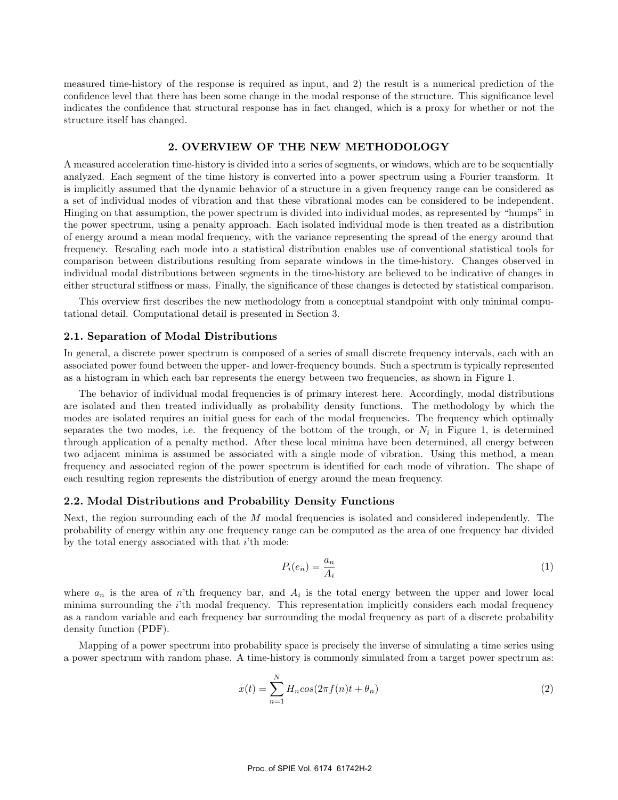measured time-history of the response is required as input, and 2) the result is a numerical prediction of the confidence level that there has been some change in the modal response of the structure. This significance level indicates the confidence that structural response has in fact changed, which is a proxy for whether or not the structure itself has changed.

# **2. OVERVIEW OF THE NEW METHODOLOGY**

A measured acceleration time-history is divided into a series of segments, or windows, which are to be sequentially analyzed. Each segment of the time history is converted into a power spectrum using a Fourier transform. It is implicitly assumed that the dynamic behavior of a structure in a given frequency range can be considered as a set of individual modes of vibration and that these vibrational modes can be considered to be independent. Hinging on that assumption, the power spectrum is divided into individual modes, as represented by "humps" in the power spectrum, using a penalty approach. Each isolated individual mode is then treated as a distribution of energy around a mean modal frequency, with the variance representing the spread of the energy around that frequency. Rescaling each mode into a statistical distribution enables use of conventional statistical tools for comparison between distributions resulting from separate windows in the time-history. Changes observed in individual modal distributions between segments in the time-history are believed to be indicative of changes in either structural stiffness or mass. Finally, the significance of these changes is detected by statistical comparison.

This overview first describes the new methodology from a conceptual standpoint with only minimal computational detail. Computational detail is presented in Section 3.

#### **2.1. Separation of Modal Distributions**

In general, a discrete power spectrum is composed of a series of small discrete frequency intervals, each with an associated power found between the upper- and lower-frequency bounds. Such a spectrum is typically represented as a histogram in which each bar represents the energy between two frequencies, as shown in Figure 1.

The behavior of individual modal frequencies is of primary interest here. Accordingly, modal distributions are isolated and then treated individually as probability density functions. The methodology by which the modes are isolated requires an initial guess for each of the modal frequencies. The frequency which optimally separates the two modes, i.e. the frequency of the bottom of the trough, or  $N_i$  in Figure 1, is determined through application of a penalty method. After these local minima have been determined, all energy between two adjacent minima is assumed be associated with a single mode of vibration. Using this method, a mean frequency and associated region of the power spectrum is identified for each mode of vibration. The shape of each resulting region represents the distribution of energy around the mean frequency.

#### **2.2. Modal Distributions and Probability Density Functions**

Next, the region surrounding each of the  $M$  modal frequencies is isolated and considered independently. The probability of energy within any one frequency range can be computed as the area of one frequency bar divided by the total energy associated with that  $i$ 'th mode:

$$
P_i(e_n) = \frac{a_n}{A_i} \tag{1}
$$

where  $a_n$  is the area of n'th frequency bar, and  $A_i$  is the total energy between the upper and lower local minima surrounding the i'th modal frequency. This representation implicitly considers each modal frequency as a random variable and each frequency bar surrounding the modal frequency as part of a discrete probability density function (PDF).

Mapping of a power spectrum into probability space is precisely the inverse of simulating a time series using a power spectrum with random phase. A time-history is commonly simulated from a target power spectrum as:

$$
x(t) = \sum_{n=1}^{N} H_n \cos(2\pi f(n)t + \theta_n)
$$
\n(2)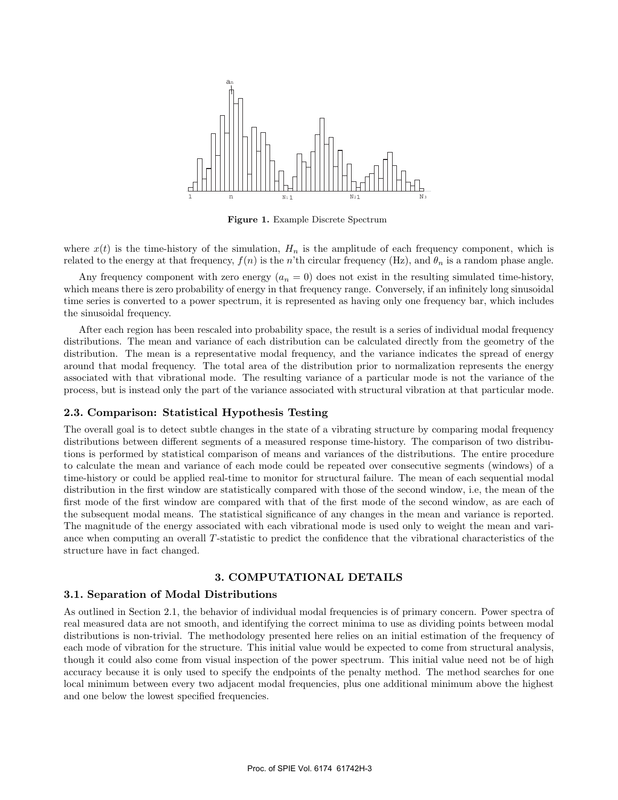

**Figure 1.** Example Discrete Spectrum

where  $x(t)$  is the time-history of the simulation,  $H_n$  is the amplitude of each frequency component, which is related to the energy at that frequency,  $f(n)$  is the n'th circular frequency (Hz), and  $\theta_n$  is a random phase angle.

Any frequency component with zero energy  $(a_n = 0)$  does not exist in the resulting simulated time-history, which means there is zero probability of energy in that frequency range. Conversely, if an infinitely long sinusoidal time series is converted to a power spectrum, it is represented as having only one frequency bar, which includes the sinusoidal frequency.

After each region has been rescaled into probability space, the result is a series of individual modal frequency distributions. The mean and variance of each distribution can be calculated directly from the geometry of the distribution. The mean is a representative modal frequency, and the variance indicates the spread of energy around that modal frequency. The total area of the distribution prior to normalization represents the energy associated with that vibrational mode. The resulting variance of a particular mode is not the variance of the process, but is instead only the part of the variance associated with structural vibration at that particular mode.

#### **2.3. Comparison: Statistical Hypothesis Testing**

The overall goal is to detect subtle changes in the state of a vibrating structure by comparing modal frequency distributions between different segments of a measured response time-history. The comparison of two distributions is performed by statistical comparison of means and variances of the distributions. The entire procedure to calculate the mean and variance of each mode could be repeated over consecutive segments (windows) of a time-history or could be applied real-time to monitor for structural failure. The mean of each sequential modal distribution in the first window are statistically compared with those of the second window, i.e, the mean of the first mode of the first window are compared with that of the first mode of the second window, as are each of the subsequent modal means. The statistical significance of any changes in the mean and variance is reported. The magnitude of the energy associated with each vibrational mode is used only to weight the mean and variance when computing an overall T-statistic to predict the confidence that the vibrational characteristics of the structure have in fact changed.

# **3. COMPUTATIONAL DETAILS**

## **3.1. Separation of Modal Distributions**

As outlined in Section 2.1, the behavior of individual modal frequencies is of primary concern. Power spectra of real measured data are not smooth, and identifying the correct minima to use as dividing points between modal distributions is non-trivial. The methodology presented here relies on an initial estimation of the frequency of each mode of vibration for the structure. This initial value would be expected to come from structural analysis, though it could also come from visual inspection of the power spectrum. This initial value need not be of high accuracy because it is only used to specify the endpoints of the penalty method. The method searches for one local minimum between every two adjacent modal frequencies, plus one additional minimum above the highest and one below the lowest specified frequencies.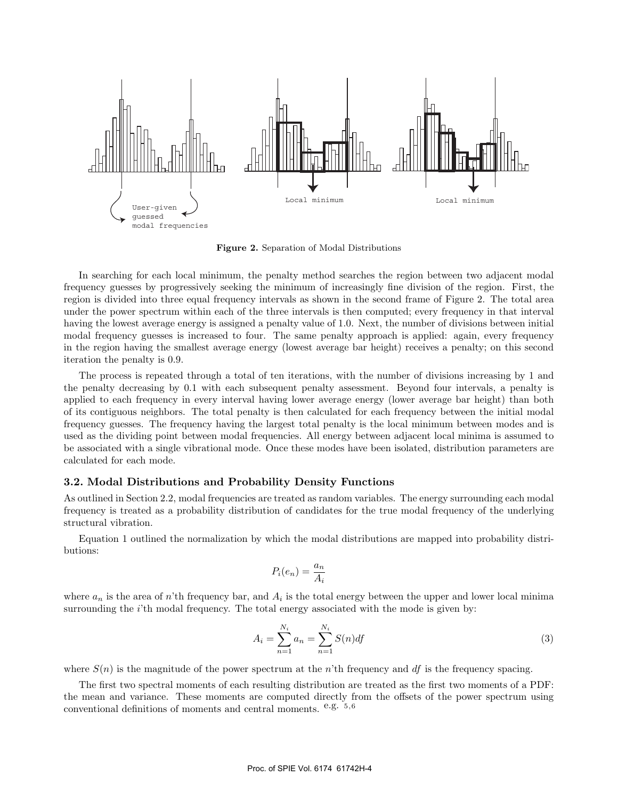

**Figure 2.** Separation of Modal Distributions

In searching for each local minimum, the penalty method searches the region between two adjacent modal frequency guesses by progressively seeking the minimum of increasingly fine division of the region. First, the region is divided into three equal frequency intervals as shown in the second frame of Figure 2. The total area under the power spectrum within each of the three intervals is then computed; every frequency in that interval having the lowest average energy is assigned a penalty value of 1.0. Next, the number of divisions between initial modal frequency guesses is increased to four. The same penalty approach is applied: again, every frequency in the region having the smallest average energy (lowest average bar height) receives a penalty; on this second iteration the penalty is 0.9.

The process is repeated through a total of ten iterations, with the number of divisions increasing by 1 and the penalty decreasing by 0.1 with each subsequent penalty assessment. Beyond four intervals, a penalty is applied to each frequency in every interval having lower average energy (lower average bar height) than both of its contiguous neighbors. The total penalty is then calculated for each frequency between the initial modal frequency guesses. The frequency having the largest total penalty is the local minimum between modes and is used as the dividing point between modal frequencies. All energy between adjacent local minima is assumed to be associated with a single vibrational mode. Once these modes have been isolated, distribution parameters are calculated for each mode.

## **3.2. Modal Distributions and Probability Density Functions**

As outlined in Section 2.2, modal frequencies are treated as random variables. The energy surrounding each modal frequency is treated as a probability distribution of candidates for the true modal frequency of the underlying structural vibration.

Equation 1 outlined the normalization by which the modal distributions are mapped into probability distributions:

$$
P_i(e_n) = \frac{a_n}{A_i}
$$

where  $a_n$  is the area of n'th frequency bar, and  $A_i$  is the total energy between the upper and lower local minima surrounding the *i*'th modal frequency. The total energy associated with the mode is given by:

$$
A_i = \sum_{n=1}^{N_i} a_n = \sum_{n=1}^{N_i} S(n) df
$$
\n(3)

where  $S(n)$  is the magnitude of the power spectrum at the n'th frequency and df is the frequency spacing.

The first two spectral moments of each resulting distribution are treated as the first two moments of a PDF: the mean and variance. These moments are computed directly from the offsets of the power spectrum using conventional definitions of moments and central moments. e.g. <sup>5</sup>,<sup>6</sup>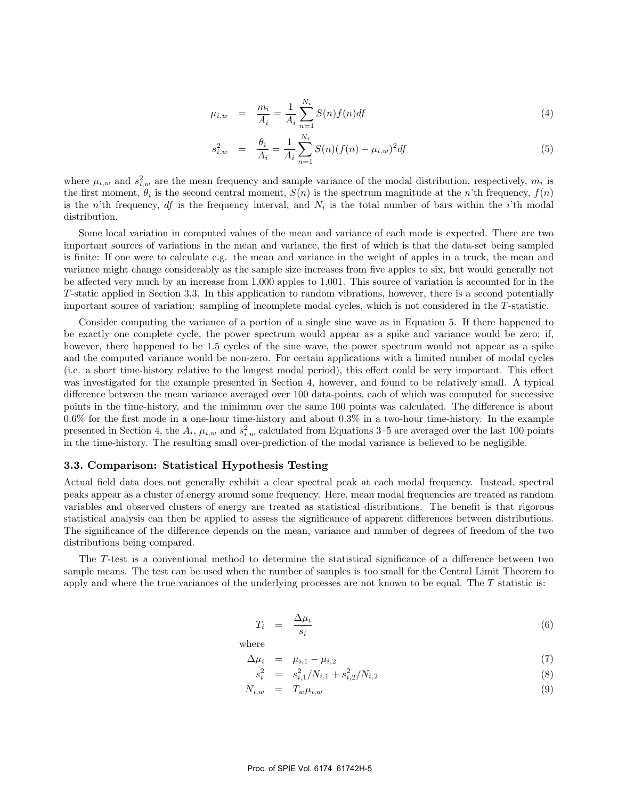$$
\mu_{i,w} = \frac{m_i}{A_i} = \frac{1}{A_i} \sum_{n=1}^{N_i} S(n) f(n) df \tag{4}
$$

$$
s_{i,w}^2 = \frac{\theta_i}{A_i} = \frac{1}{A_i} \sum_{n=1}^{N_i} S(n) (f(n) - \mu_{i,w})^2 df
$$
 (5)

where  $\mu_{i,w}$  and  $s_{i,w}^2$  are the mean frequency and sample variance of the modal distribution, respectively,  $m_i$  is the first moment,  $\theta_i$  is the second central moment,  $S(n)$  is the spectrum magnitude at the n'th frequency,  $f(n)$ is the n'th frequency, df is the frequency interval, and  $N_i$  is the total number of bars within the i'th modal distribution.

Some local variation in computed values of the mean and variance of each mode is expected. There are two important sources of variations in the mean and variance, the first of which is that the data-set being sampled is finite: If one were to calculate e.g. the mean and variance in the weight of apples in a truck, the mean and variance might change considerably as the sample size increases from five apples to six, but would generally not be affected very much by an increase from 1,000 apples to 1,001. This source of variation is accounted for in the T-static applied in Section 3.3. In this application to random vibrations, however, there is a second potentially important source of variation: sampling of incomplete modal cycles, which is not considered in the T-statistic.

Consider computing the variance of a portion of a single sine wave as in Equation 5. If there happened to be exactly one complete cycle, the power spectrum would appear as a spike and variance would be zero; if, however, there happened to be 1.5 cycles of the sine wave, the power spectrum would not appear as a spike and the computed variance would be non-zero. For certain applications with a limited number of modal cycles (i.e. a short time-history relative to the longest modal period), this effect could be very important. This effect was investigated for the example presented in Section 4, however, and found to be relatively small. A typical difference between the mean variance averaged over 100 data-points, each of which was computed for successive points in the time-history, and the minimum over the same 100 points was calculated. The difference is about 0.6% for the first mode in a one-hour time-history and about 0.3% in a two-hour time-history. In the example presented in Section 4, the  $A_i$ ,  $\mu_{i,w}$  and  $s_{i,w}^2$  calculated from Equations 3–5 are averaged over the last 100 points in the time-history. The resulting small over-prediction of the modal variance is believed to be negligible.

#### **3.3. Comparison: Statistical Hypothesis Testing**

Actual field data does not generally exhibit a clear spectral peak at each modal frequency. Instead, spectral peaks appear as a cluster of energy around some frequency. Here, mean modal frequencies are treated as random variables and observed clusters of energy are treated as statistical distributions. The benefit is that rigorous statistical analysis can then be applied to assess the significance of apparent differences between distributions. The significance of the difference depends on the mean, variance and number of degrees of freedom of the two distributions being compared.

The T-test is a conventional method to determine the statistical significance of a difference between two sample means. The test can be used when the number of samples is too small for the Central Limit Theorem to apply and where the true variances of the underlying processes are not known to be equal. The  $T$  statistic is:

$$
T_i = \frac{\Delta \mu_i}{s_i} \tag{6}
$$

where

$$
\Delta \mu_i = \mu_{i,1} - \mu_{i,2} \tag{7}
$$

$$
s_i^2 = s_{i,1}^2/N_{i,1} + s_{i,2}^2/N_{i,2}
$$
\n(8)

$$
N_{i,w} = T_w \mu_{i,w} \tag{9}
$$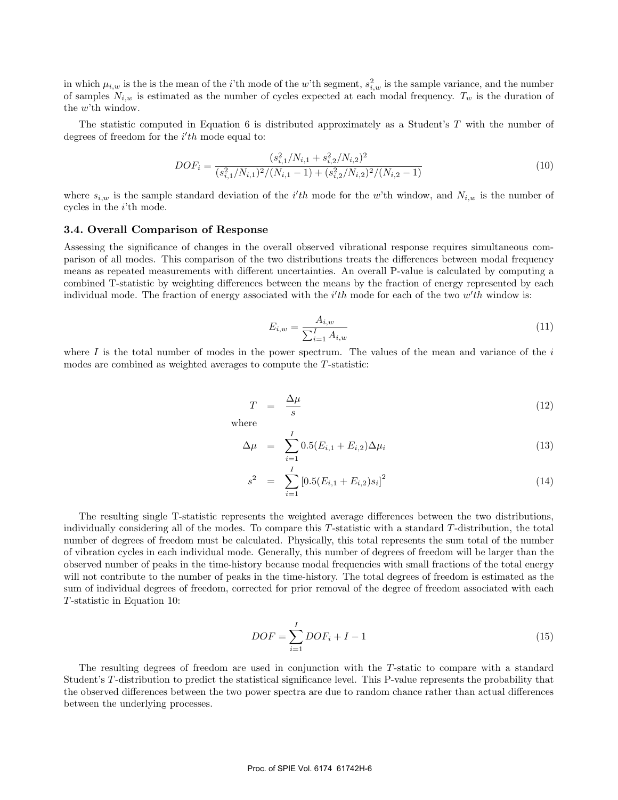in which  $\mu_{i,w}$  is the is the mean of the *i*'th mode of the w'th segment,  $s_{i,w}^2$  is the sample variance, and the number of samples  $N_{i,w}$  is estimated as the number of cycles expected at each modal frequency.  $T_w$  is the duration of the w'th window.

The statistic computed in Equation 6 is distributed approximately as a Student's T with the number of degrees of freedom for the  $i'th$  mode equal to:

$$
DOF_{i} = \frac{(s_{i,1}^{2}/N_{i,1} + s_{i,2}^{2}/N_{i,2})^{2}}{(s_{i,1}^{2}/N_{i,1})^{2}/(N_{i,1} - 1) + (s_{i,2}^{2}/N_{i,2})^{2}/(N_{i,2} - 1)}
$$
(10)

where  $s_{i,w}$  is the sample standard deviation of the i'th mode for the w'th window, and  $N_{i,w}$  is the number of cycles in the i'th mode.

#### **3.4. Overall Comparison of Response**

Assessing the significance of changes in the overall observed vibrational response requires simultaneous comparison of all modes. This comparison of the two distributions treats the differences between modal frequency means as repeated measurements with different uncertainties. An overall P-value is calculated by computing a combined T-statistic by weighting differences between the means by the fraction of energy represented by each individual mode. The fraction of energy associated with the  $i'th$  mode for each of the two  $w'th$  window is:

$$
E_{i,w} = \frac{A_{i,w}}{\sum_{i=1}^{I} A_{i,w}}
$$
(11)

where I is the total number of modes in the power spectrum. The values of the mean and variance of the  $i$ modes are combined as weighted averages to compute the T-statistic:

$$
T = \frac{\Delta \mu}{s} \tag{12}
$$

where

$$
\Delta \mu = \sum_{i=1}^{I} 0.5(E_{i,1} + E_{i,2}) \Delta \mu_i
$$
\n(13)

$$
s^2 = \sum_{i=1}^{I} [0.5(E_{i,1} + E_{i,2})s_i]^2
$$
 (14)

The resulting single T-statistic represents the weighted average differences between the two distributions, individually considering all of the modes. To compare this T-statistic with a standard T-distribution, the total number of degrees of freedom must be calculated. Physically, this total represents the sum total of the number of vibration cycles in each individual mode. Generally, this number of degrees of freedom will be larger than the observed number of peaks in the time-history because modal frequencies with small fractions of the total energy will not contribute to the number of peaks in the time-history. The total degrees of freedom is estimated as the sum of individual degrees of freedom, corrected for prior removal of the degree of freedom associated with each T-statistic in Equation 10:

$$
DOF = \sum_{i=1}^{I} DOF_i + I - 1
$$
\n
$$
(15)
$$

The resulting degrees of freedom are used in conjunction with the T-static to compare with a standard Student's T-distribution to predict the statistical significance level. This P-value represents the probability that the observed differences between the two power spectra are due to random chance rather than actual differences between the underlying processes.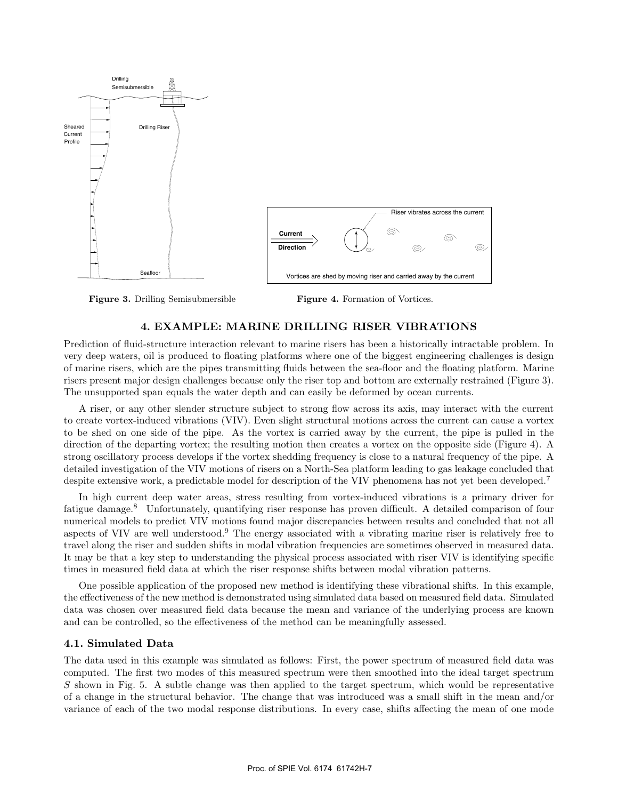

**Figure 3.** Drilling Semisubmersible

**Figure 4.** Formation of Vortices.

# **4. EXAMPLE: MARINE DRILLING RISER VIBRATIONS**

Prediction of fluid-structure interaction relevant to marine risers has been a historically intractable problem. In very deep waters, oil is produced to floating platforms where one of the biggest engineering challenges is design of marine risers, which are the pipes transmitting fluids between the sea-floor and the floating platform. Marine risers present major design challenges because only the riser top and bottom are externally restrained (Figure 3). The unsupported span equals the water depth and can easily be deformed by ocean currents.

A riser, or any other slender structure subject to strong flow across its axis, may interact with the current to create vortex-induced vibrations (VIV). Even slight structural motions across the current can cause a vortex to be shed on one side of the pipe. As the vortex is carried away by the current, the pipe is pulled in the direction of the departing vortex; the resulting motion then creates a vortex on the opposite side (Figure 4). A strong oscillatory process develops if the vortex shedding frequency is close to a natural frequency of the pipe. A detailed investigation of the VIV motions of risers on a North-Sea platform leading to gas leakage concluded that despite extensive work, a predictable model for description of the VIV phenomena has not yet been developed.<sup>7</sup>

In high current deep water areas, stress resulting from vortex-induced vibrations is a primary driver for fatigue damage.<sup>8</sup> Unfortunately, quantifying riser response has proven difficult. A detailed comparison of four numerical models to predict VIV motions found major discrepancies between results and concluded that not all aspects of VIV are well understood.<sup>9</sup> The energy associated with a vibrating marine riser is relatively free to travel along the riser and sudden shifts in modal vibration frequencies are sometimes observed in measured data. It may be that a key step to understanding the physical process associated with riser VIV is identifying specific times in measured field data at which the riser response shifts between modal vibration patterns.

One possible application of the proposed new method is identifying these vibrational shifts. In this example, the effectiveness of the new method is demonstrated using simulated data based on measured field data. Simulated data was chosen over measured field data because the mean and variance of the underlying process are known and can be controlled, so the effectiveness of the method can be meaningfully assessed.

# **4.1. Simulated Data**

The data used in this example was simulated as follows: First, the power spectrum of measured field data was computed. The first two modes of this measured spectrum were then smoothed into the ideal target spectrum S shown in Fig. 5. A subtle change was then applied to the target spectrum, which would be representative of a change in the structural behavior. The change that was introduced was a small shift in the mean and/or variance of each of the two modal response distributions. In every case, shifts affecting the mean of one mode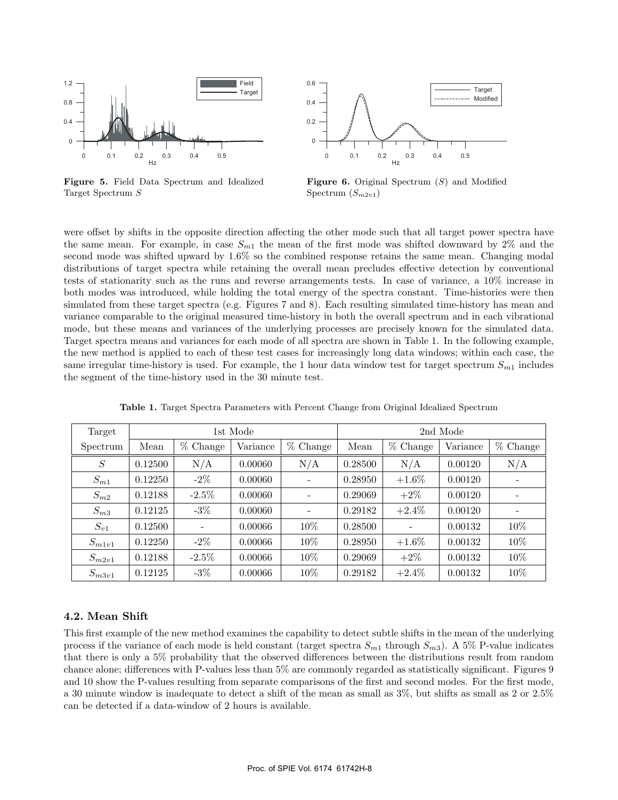

**Figure 5.** Field Data Spectrum and Idealized Target Spectrum S



**Figure 6.** Original Spectrum (S) and Modified Spectrum  $(S_{m2v1})$ 

were offset by shifts in the opposite direction affecting the other mode such that all target power spectra have the same mean. For example, in case  $S_{m1}$  the mean of the first mode was shifted downward by 2% and the second mode was shifted upward by 1.6% so the combined response retains the same mean. Changing modal distributions of target spectra while retaining the overall mean precludes effective detection by conventional tests of stationarity such as the runs and reverse arrangements tests. In case of variance, a 10% increase in both modes was introduced, while holding the total energy of the spectra constant. Time-histories were then simulated from these target spectra (e.g. Figures 7 and 8). Each resulting simulated time-history has mean and variance comparable to the original measured time-history in both the overall spectrum and in each vibrational mode, but these means and variances of the underlying processes are precisely known for the simulated data. Target spectra means and variances for each mode of all spectra are shown in Table 1. In the following example, the new method is applied to each of these test cases for increasingly long data windows; within each case, the same irregular time-history is used. For example, the 1 hour data window test for target spectrum  $S_{m1}$  includes the segment of the time-history used in the 30 minute test.

| Target     | 1st Mode |                          |          |                          | 2nd Mode |            |          |            |
|------------|----------|--------------------------|----------|--------------------------|----------|------------|----------|------------|
| Spectrum   | Mean     | $%$ Change               | Variance | $%$ Change               | Mean     | $%$ Change | Variance | $%$ Change |
| $\cal S$   | 0.12500  | N/A                      | 0.00060  | N/A                      | 0.28500  | N/A        | 0.00120  | N/A        |
| $S_{m1}$   | 0.12250  | $-2\%$                   | 0.00060  | $\overline{\phantom{0}}$ | 0.28950  | $+1.6\%$   | 0.00120  |            |
| $S_{m2}$   | 0.12188  | $-2.5\%$                 | 0.00060  | Ξ.                       | 0.29069  | $+2\%$     | 0.00120  |            |
| $S_{m3}$   | 0.12125  | $-3%$                    | 0.00060  |                          | 0.29182  | $+2.4\%$   | 0.00120  |            |
| $S_{v1}$   | 0.12500  | $\overline{\phantom{a}}$ | 0.00066  | $10\%$                   | 0.28500  | -          | 0.00132  | 10\%       |
| $S_{m1v1}$ | 0.12250  | $-2\%$                   | 0.00066  | 10%                      | 0.28950  | $+1.6\%$   | 0.00132  | 10%        |
| $S_{m2v1}$ | 0.12188  | $-2.5\%$                 | 0.00066  | 10%                      | 0.29069  | $+2\%$     | 0.00132  | 10%        |
| $S_{m3v1}$ | 0.12125  | $-3\%$                   | 0.00066  | 10%                      | 0.29182  | $+2.4\%$   | 0.00132  | 10%        |

**Table 1.** Target Spectra Parameters with Percent Change from Original Idealized Spectrum

# **4.2. Mean Shift**

This first example of the new method examines the capability to detect subtle shifts in the mean of the underlying process if the variance of each mode is held constant (target spectra  $S_{m1}$  through  $S_{m3}$ ). A 5% P-value indicates that there is only a 5% probability that the observed differences between the distributions result from random chance alone; differences with P-values less than 5% are commonly regarded as statistically significant. Figures 9 and 10 show the P-values resulting from separate comparisons of the first and second modes. For the first mode, a 30 minute window is inadequate to detect a shift of the mean as small as 3%, but shifts as small as 2 or 2.5% can be detected if a data-window of 2 hours is available.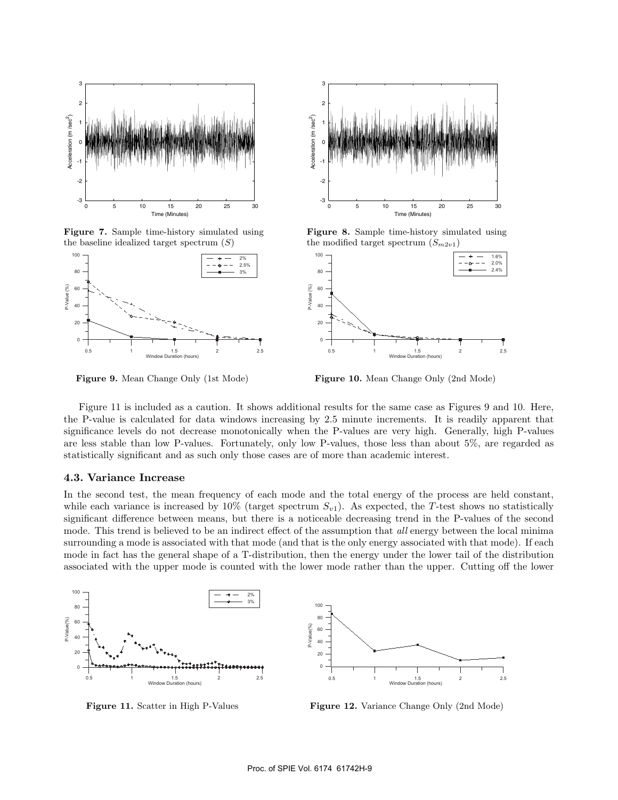

**Figure 7.** Sample time-history simulated using the baseline idealized target spectrum  $(S)$ 



**Figure 9.** Mean Change Only (1st Mode)



**Figure 8.** Sample time-history simulated using the modified target spectrum  $(S_{m2v1})$ 



**Figure 10.** Mean Change Only (2nd Mode)

Figure 11 is included as a caution. It shows additional results for the same case as Figures 9 and 10. Here, the P-value is calculated for data windows increasing by 2.5 minute increments. It is readily apparent that significance levels do not decrease monotonically when the P-values are very high. Generally, high P-values are less stable than low P-values. Fortunately, only low P-values, those less than about 5%, are regarded as statistically significant and as such only those cases are of more than academic interest.

## **4.3. Variance Increase**

In the second test, the mean frequency of each mode and the total energy of the process are held constant, while each variance is increased by 10% (target spectrum  $S_{v1}$ ). As expected, the T-test shows no statistically significant difference between means, but there is a noticeable decreasing trend in the P-values of the second mode. This trend is believed to be an indirect effect of the assumption that all energy between the local minima surrounding a mode is associated with that mode (and that is the only energy associated with that mode). If each mode in fact has the general shape of a T-distribution, then the energy under the lower tail of the distribution associated with the upper mode is counted with the lower mode rather than the upper. Cutting off the lower



**Figure 11.** Scatter in High P-Values

**Figure 12.** Variance Change Only (2nd Mode)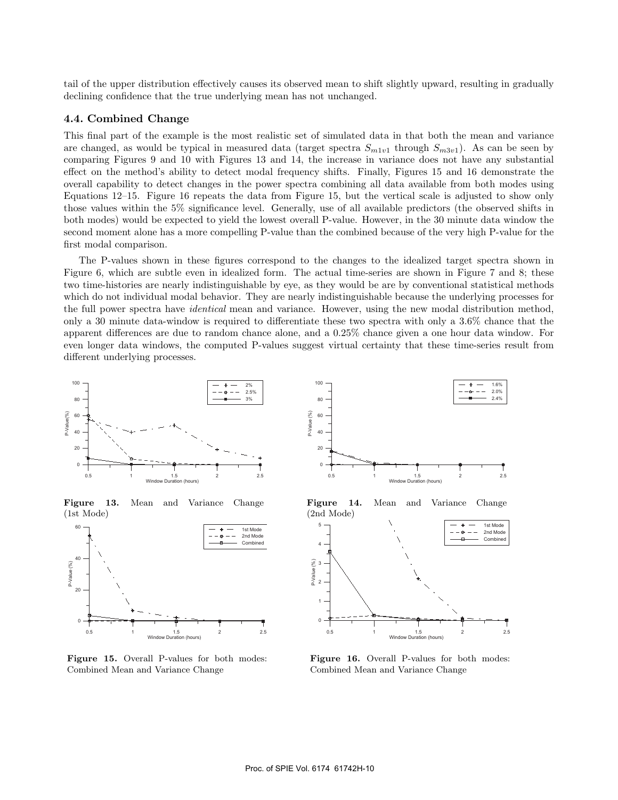tail of the upper distribution effectively causes its observed mean to shift slightly upward, resulting in gradually declining confidence that the true underlying mean has not unchanged.

## **4.4. Combined Change**

This final part of the example is the most realistic set of simulated data in that both the mean and variance are changed, as would be typical in measured data (target spectra  $S_{m1v1}$  through  $S_{m3v1}$ ). As can be seen by comparing Figures 9 and 10 with Figures 13 and 14, the increase in variance does not have any substantial effect on the method's ability to detect modal frequency shifts. Finally, Figures 15 and 16 demonstrate the overall capability to detect changes in the power spectra combining all data available from both modes using Equations 12–15. Figure 16 repeats the data from Figure 15, but the vertical scale is adjusted to show only those values within the 5% significance level. Generally, use of all available predictors (the observed shifts in both modes) would be expected to yield the lowest overall P-value. However, in the 30 minute data window the second moment alone has a more compelling P-value than the combined because of the very high P-value for the first modal comparison.

The P-values shown in these figures correspond to the changes to the idealized target spectra shown in Figure 6, which are subtle even in idealized form. The actual time-series are shown in Figure 7 and 8; these two time-histories are nearly indistinguishable by eye, as they would be are by conventional statistical methods which do not individual modal behavior. They are nearly indistinguishable because the underlying processes for the full power spectra have *identical* mean and variance. However, using the new modal distribution method, only a 30 minute data-window is required to differentiate these two spectra with only a 3.6% chance that the apparent differences are due to random chance alone, and a 0.25% chance given a one hour data window. For even longer data windows, the computed P-values suggest virtual certainty that these time-series result from different underlying processes.



**Figure 13.** Mean and Variance Change (1st Mode)



**Figure 15.** Overall P-values for both modes: Combined Mean and Variance Change



**Figure 14.** Mean and Variance Change (2nd Mode)



**Figure 16.** Overall P-values for both modes: Combined Mean and Variance Change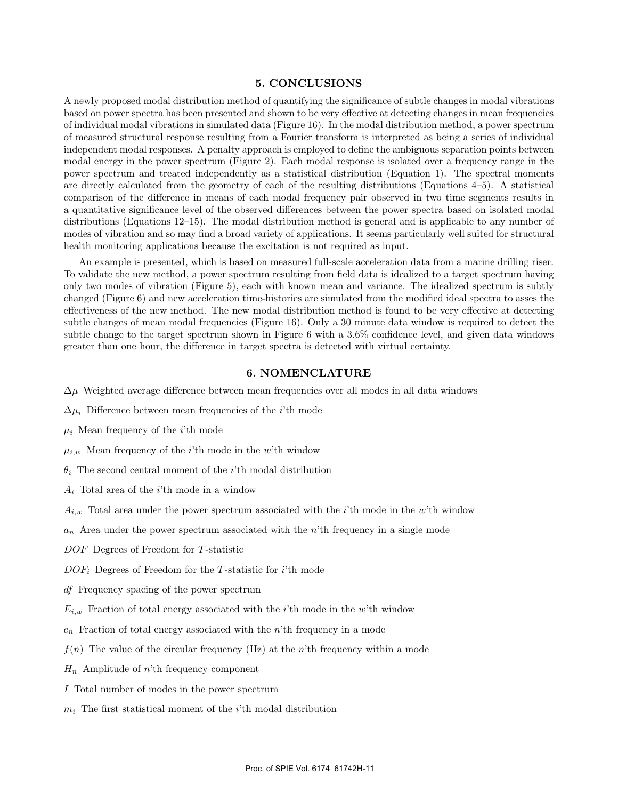# **5. CONCLUSIONS**

A newly proposed modal distribution method of quantifying the significance of subtle changes in modal vibrations based on power spectra has been presented and shown to be very effective at detecting changes in mean frequencies of individual modal vibrations in simulated data (Figure 16). In the modal distribution method, a power spectrum of measured structural response resulting from a Fourier transform is interpreted as being a series of individual independent modal responses. A penalty approach is employed to define the ambiguous separation points between modal energy in the power spectrum (Figure 2). Each modal response is isolated over a frequency range in the power spectrum and treated independently as a statistical distribution (Equation 1). The spectral moments are directly calculated from the geometry of each of the resulting distributions (Equations 4–5). A statistical comparison of the difference in means of each modal frequency pair observed in two time segments results in a quantitative significance level of the observed differences between the power spectra based on isolated modal distributions (Equations 12–15). The modal distribution method is general and is applicable to any number of modes of vibration and so may find a broad variety of applications. It seems particularly well suited for structural health monitoring applications because the excitation is not required as input.

An example is presented, which is based on measured full-scale acceleration data from a marine drilling riser. To validate the new method, a power spectrum resulting from field data is idealized to a target spectrum having only two modes of vibration (Figure 5), each with known mean and variance. The idealized spectrum is subtly changed (Figure 6) and new acceleration time-histories are simulated from the modified ideal spectra to asses the effectiveness of the new method. The new modal distribution method is found to be very effective at detecting subtle changes of mean modal frequencies (Figure 16). Only a 30 minute data window is required to detect the subtle change to the target spectrum shown in Figure 6 with a 3.6% confidence level, and given data windows greater than one hour, the difference in target spectra is detected with virtual certainty.

## **6. NOMENCLATURE**

- $\Delta \mu$  Weighted average difference between mean frequencies over all modes in all data windows
- $\Delta \mu_i$  Difference between mean frequencies of the *i*'th mode
- $\mu_i$  Mean frequency of the *i*'th mode
- $\mu_{i,w}$  Mean frequency of the *i*'th mode in the w'th window
- $\theta_i$  The second central moment of the *i*'th modal distribution
- $A_i$  Total area of the *i*'th mode in a window
- $A_{i,w}$  Total area under the power spectrum associated with the *i*'th mode in the w'th window
- $a_n$  Area under the power spectrum associated with the n'th frequency in a single mode
- DOF Degrees of Freedom for T-statistic
- $DOF_i$  Degrees of Freedom for the T-statistic for i'th mode
- df Frequency spacing of the power spectrum
- $E_{i,w}$  Fraction of total energy associated with the *i*'th mode in the w'th window
- $e_n$  Fraction of total energy associated with the *n*'th frequency in a mode
- $f(n)$  The value of the circular frequency (Hz) at the n'th frequency within a mode
- $H_n$  Amplitude of n'th frequency component
- I Total number of modes in the power spectrum
- $m_i$  The first statistical moment of the *i*'th modal distribution